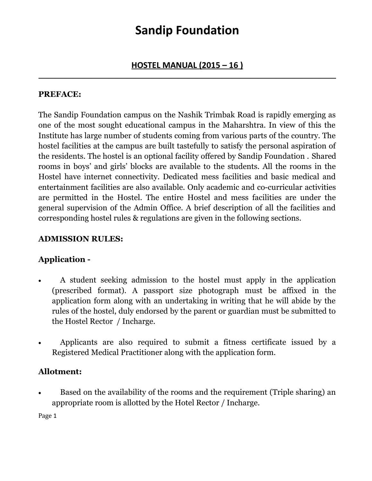#### **HOSTEL MANUAL (2015 – 16 )** \_\_\_\_\_\_\_\_\_\_\_\_\_\_\_\_\_\_\_\_\_\_\_\_\_\_\_\_\_\_\_\_\_\_\_\_\_\_\_\_\_\_\_\_\_\_\_\_\_\_\_\_\_\_\_\_\_\_\_\_\_\_\_\_\_\_\_\_\_\_\_\_\_\_\_\_\_\_\_\_\_\_

#### **PREFACE:**

The Sandip Foundation campus on the Nashik Trimbak Road is rapidly emerging as one of the most sought educational campus in the Maharshtra. In view of this the Institute has large number of students coming from various parts of the country. The hostel facilities at the campus are built tastefully to satisfy the personal aspiration of the residents. The hostel is an optional facility offered by Sandip Foundation . Shared rooms in boys' and girls' blocks are available to the students. All the rooms in the Hostel have internet connectivity. Dedicated mess facilities and basic medical and entertainment facilities are also available. Only academic and co-curricular activities are permitted in the Hostel. The entire Hostel and mess facilities are under the general supervision of the Admin Office. A brief description of all the facilities and corresponding hostel rules & regulations are given in the following sections.

#### **ADMISSION RULES:**

### **Application -**

- A student seeking admission to the hostel must apply in the application (prescribed format). A passport size photograph must be affixed in the application form along with an undertaking in writing that he will abide by the rules of the hostel, duly endorsed by the parent or guardian must be submitted to the Hostel Rector / Incharge.
- Applicants are also required to submit a fitness certificate issued by a Registered Medical Practitioner along with the application form.

### **Allotment:**

 Based on the availability of the rooms and the requirement (Triple sharing) an appropriate room is allotted by the Hotel Rector / Incharge.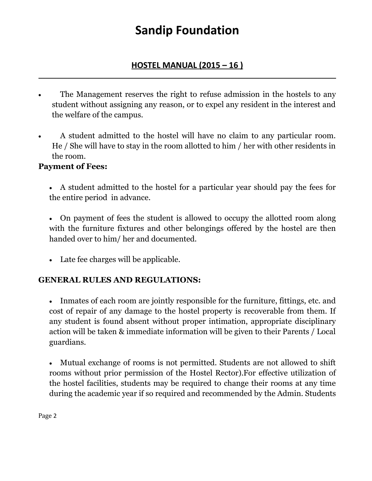### **HOSTEL MANUAL (2015 – 16 )** \_\_\_\_\_\_\_\_\_\_\_\_\_\_\_\_\_\_\_\_\_\_\_\_\_\_\_\_\_\_\_\_\_\_\_\_\_\_\_\_\_\_\_\_\_\_\_\_\_\_\_\_\_\_\_\_\_\_\_\_\_\_\_\_\_\_\_\_\_\_\_\_\_\_\_\_\_\_\_\_\_\_

- The Management reserves the right to refuse admission in the hostels to any student without assigning any reason, or to expel any resident in the interest and the welfare of the campus.
- A student admitted to the hostel will have no claim to any particular room. He / She will have to stay in the room allotted to him / her with other residents in the room.

### **Payment of Fees:**

- A student admitted to the hostel for a particular year should pay the fees for the entire period in advance.
- On payment of fees the student is allowed to occupy the allotted room along with the furniture fixtures and other belongings offered by the hostel are then handed over to him/ her and documented.
- Late fee charges will be applicable.

### **GENERAL RULES AND REGULATIONS:**

 Inmates of each room are jointly responsible for the furniture, fittings, etc. and cost of repair of any damage to the hostel property is recoverable from them. If any student is found absent without proper intimation, appropriate disciplinary action will be taken & immediate information will be given to their Parents / Local guardians.

 Mutual exchange of rooms is not permitted. Students are not allowed to shift rooms without prior permission of the Hostel Rector).For effective utilization of the hostel facilities, students may be required to change their rooms at any time during the academic year if so required and recommended by the Admin. Students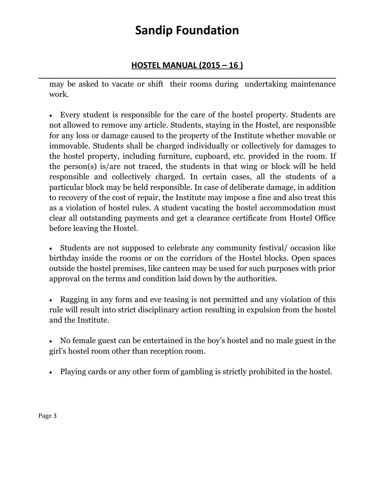### **HOSTEL MANUAL (2015 – 16 )**

\_\_\_\_\_\_\_\_\_\_\_\_\_\_\_\_\_\_\_\_\_\_\_\_\_\_\_\_\_\_\_\_\_\_\_\_\_\_\_\_\_\_\_\_\_\_\_\_\_\_\_\_\_\_\_\_\_\_\_\_\_\_\_\_\_\_\_\_\_\_\_\_\_\_\_\_\_\_\_\_\_\_ may be asked to vacate or shift their rooms during undertaking maintenance work.

 Every student is responsible for the care of the hostel property. Students are not allowed to remove any article. Students, staying in the Hostel, are responsible for any loss or damage caused to the property of the Institute whether movable or immovable. Students shall be charged individually or collectively for damages to the hostel property, including furniture, cupboard, etc. provided in the room. If the person(s) is/are not traced, the students in that wing or block will be held responsible and collectively charged. In certain cases, all the students of a particular block may be held responsible. In case of deliberate damage, in addition to recovery of the cost of repair, the Institute may impose a fine and also treat this as a violation of hostel rules. A student vacating the hostel accommodation must clear all outstanding payments and get a clearance certificate from Hostel Office before leaving the Hostel.

 Students are not supposed to celebrate any community festival/ occasion like birthday inside the rooms or on the corridors of the Hostel blocks. Open spaces outside the hostel premises, like canteen may be used for such purposes with prior approval on the terms and condition laid down by the authorities.

 Ragging in any form and eve teasing is not permitted and any violation of this rule will result into strict disciplinary action resulting in expulsion from the hostel and the Institute.

 No female guest can be entertained in the boy's hostel and no male guest in the girl's hostel room other than reception room.

Playing cards or any other form of gambling is strictly prohibited in the hostel.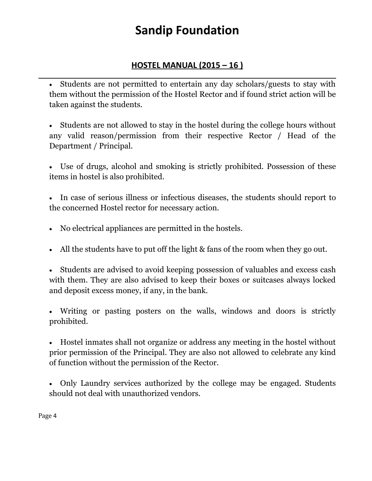### **HOSTEL MANUAL (2015 – 16 )**

\_\_\_\_\_\_\_\_\_\_\_\_\_\_\_\_\_\_\_\_\_\_\_\_\_\_\_\_\_\_\_\_\_\_\_\_\_\_\_\_\_\_\_\_\_\_\_\_\_\_\_\_\_\_\_\_\_\_\_\_\_\_\_\_\_\_\_\_\_\_\_\_\_\_\_\_\_\_\_\_\_\_ Students are not permitted to entertain any day scholars/guests to stay with them without the permission of the Hostel Rector and if found strict action will be taken against the students.

 Students are not allowed to stay in the hostel during the college hours without any valid reason/permission from their respective Rector / Head of the Department / Principal.

 Use of drugs, alcohol and smoking is strictly prohibited. Possession of these items in hostel is also prohibited.

 In case of serious illness or infectious diseases, the students should report to the concerned Hostel rector for necessary action.

- No electrical appliances are permitted in the hostels.
- All the students have to put off the light & fans of the room when they go out.

 Students are advised to avoid keeping possession of valuables and excess cash with them. They are also advised to keep their boxes or suitcases always locked and deposit excess money, if any, in the bank.

 Writing or pasting posters on the walls, windows and doors is strictly prohibited.

 Hostel inmates shall not organize or address any meeting in the hostel without prior permission of the Principal. They are also not allowed to celebrate any kind of function without the permission of the Rector.

 Only Laundry services authorized by the college may be engaged. Students should not deal with unauthorized vendors.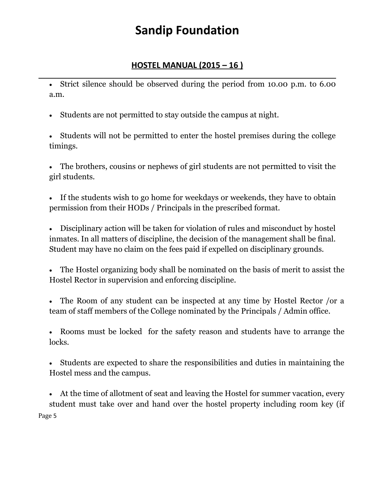### **HOSTEL MANUAL (2015 – 16 )**

\_\_\_\_\_\_\_\_\_\_\_\_\_\_\_\_\_\_\_\_\_\_\_\_\_\_\_\_\_\_\_\_\_\_\_\_\_\_\_\_\_\_\_\_\_\_\_\_\_\_\_\_\_\_\_\_\_\_\_\_\_\_\_\_\_\_\_\_\_\_\_\_\_\_\_\_\_\_\_\_\_\_ Strict silence should be observed during the period from 10.00 p.m. to 6.00 a.m.

Students are not permitted to stay outside the campus at night.

 Students will not be permitted to enter the hostel premises during the college timings.

 The brothers, cousins or nephews of girl students are not permitted to visit the girl students.

 If the students wish to go home for weekdays or weekends, they have to obtain permission from their HODs / Principals in the prescribed format.

 Disciplinary action will be taken for violation of rules and misconduct by hostel inmates. In all matters of discipline, the decision of the management shall be final. Student may have no claim on the fees paid if expelled on disciplinary grounds.

 The Hostel organizing body shall be nominated on the basis of merit to assist the Hostel Rector in supervision and enforcing discipline.

 The Room of any student can be inspected at any time by Hostel Rector /or a team of staff members of the College nominated by the Principals / Admin office.

 Rooms must be locked for the safety reason and students have to arrange the locks.

 Students are expected to share the responsibilities and duties in maintaining the Hostel mess and the campus.

 At the time of allotment of seat and leaving the Hostel for summer vacation, every student must take over and hand over the hostel property including room key (if Page 5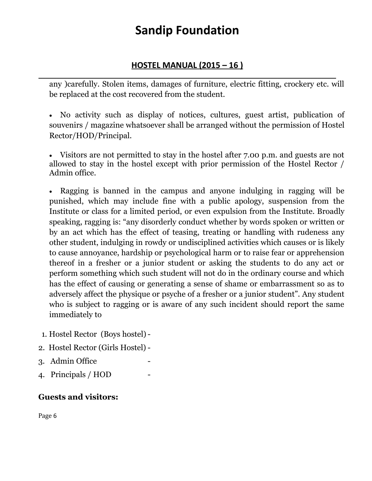### **HOSTEL MANUAL (2015 – 16 )**

\_\_\_\_\_\_\_\_\_\_\_\_\_\_\_\_\_\_\_\_\_\_\_\_\_\_\_\_\_\_\_\_\_\_\_\_\_\_\_\_\_\_\_\_\_\_\_\_\_\_\_\_\_\_\_\_\_\_\_\_\_\_\_\_\_\_\_\_\_\_\_\_\_\_\_\_\_\_\_\_\_\_ any )carefully. Stolen items, damages of furniture, electric fitting, crockery etc. will be replaced at the cost recovered from the student.

 No activity such as display of notices, cultures, guest artist, publication of souvenirs / magazine whatsoever shall be arranged without the permission of Hostel Rector/HOD/Principal.

 Visitors are not permitted to stay in the hostel after 7.00 p.m. and guests are not allowed to stay in the hostel except with prior permission of the Hostel Rector / Admin office.

 Ragging is banned in the campus and anyone indulging in ragging will be punished, which may include fine with a public apology, suspension from the Institute or class for a limited period, or even expulsion from the Institute. Broadly speaking, ragging is: "any disorderly conduct whether by words spoken or written or by an act which has the effect of teasing, treating or handling with rudeness any other student, indulging in rowdy or undisciplined activities which causes or is likely to cause annoyance, hardship or psychological harm or to raise fear or apprehension thereof in a fresher or a junior student or asking the students to do any act or perform something which such student will not do in the ordinary course and which has the effect of causing or generating a sense of shame or embarrassment so as to adversely affect the physique or psyche of a fresher or a junior student". Any student who is subject to ragging or is aware of any such incident should report the same immediately to

- 1. Hostel Rector (Boys hostel)-
- 2. Hostel Rector (Girls Hostel) -
- 3. Admin Office
- 4. Principals / HOD -

### **Guests and visitors:**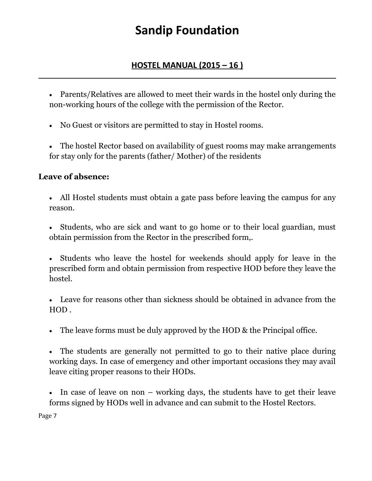#### **HOSTEL MANUAL (2015 – 16 )** \_\_\_\_\_\_\_\_\_\_\_\_\_\_\_\_\_\_\_\_\_\_\_\_\_\_\_\_\_\_\_\_\_\_\_\_\_\_\_\_\_\_\_\_\_\_\_\_\_\_\_\_\_\_\_\_\_\_\_\_\_\_\_\_\_\_\_\_\_\_\_\_\_\_\_\_\_\_\_\_\_\_

 Parents/Relatives are allowed to meet their wards in the hostel only during the non-working hours of the college with the permission of the Rector.

- No Guest or visitors are permitted to stay in Hostel rooms.
- The hostel Rector based on availability of guest rooms may make arrangements for stay only for the parents (father/ Mother) of the residents

### **Leave of absence:**

- All Hostel students must obtain a gate pass before leaving the campus for any reason.
- Students, who are sick and want to go home or to their local guardian, must obtain permission from the Rector in the prescribed form,.
- Students who leave the hostel for weekends should apply for leave in the prescribed form and obtain permission from respective HOD before they leave the hostel.
- Leave for reasons other than sickness should be obtained in advance from the HOD .
- The leave forms must be duly approved by the HOD & the Principal office.
- The students are generally not permitted to go to their native place during working days. In case of emergency and other important occasions they may avail leave citing proper reasons to their HODs.
- In case of leave on non working days, the students have to get their leave forms signed by HODs well in advance and can submit to the Hostel Rectors.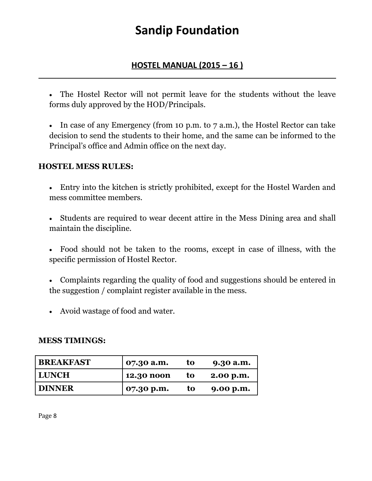#### **HOSTEL MANUAL (2015 – 16 )** \_\_\_\_\_\_\_\_\_\_\_\_\_\_\_\_\_\_\_\_\_\_\_\_\_\_\_\_\_\_\_\_\_\_\_\_\_\_\_\_\_\_\_\_\_\_\_\_\_\_\_\_\_\_\_\_\_\_\_\_\_\_\_\_\_\_\_\_\_\_\_\_\_\_\_\_\_\_\_\_\_\_

 The Hostel Rector will not permit leave for the students without the leave forms duly approved by the HOD/Principals.

 In case of any Emergency (from 10 p.m. to 7 a.m.), the Hostel Rector can take decision to send the students to their home, and the same can be informed to the Principal's office and Admin office on the next day.

#### **HOSTEL MESS RULES:**

- Entry into the kitchen is strictly prohibited, except for the Hostel Warden and mess committee members.
- Students are required to wear decent attire in the Mess Dining area and shall maintain the discipline.
- Food should not be taken to the rooms, except in case of illness, with the specific permission of Hostel Rector.
- Complaints regarding the quality of food and suggestions should be entered in the suggestion / complaint register available in the mess.
- Avoid wastage of food and water.

#### **MESS TIMINGS:**

| <b>BREAKFAST</b> | 07.30 a.m.          | to  | 9.30 a.m. |
|------------------|---------------------|-----|-----------|
| LUNCH            | 12.30 noon          | -to | 2.00 p.m. |
| <b>DINNER</b>    | $\sigma$ 07.30 p.m. | to  | 9.00 p.m. |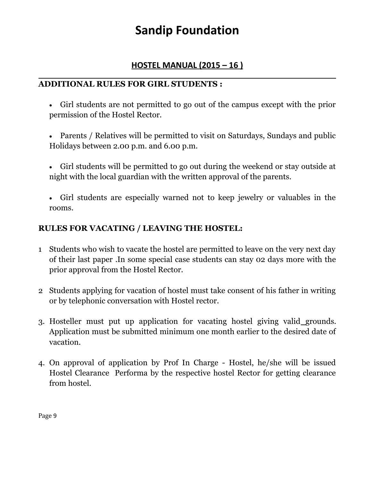### **HOSTEL MANUAL (2015 – 16 )**

#### \_\_\_\_\_\_\_\_\_\_\_\_\_\_\_\_\_\_\_\_\_\_\_\_\_\_\_\_\_\_\_\_\_\_\_\_\_\_\_\_\_\_\_\_\_\_\_\_\_\_\_\_\_\_\_\_\_\_\_\_\_\_\_\_\_\_\_\_\_\_\_\_\_\_\_\_\_\_\_\_\_\_ **ADDITIONAL RULES FOR GIRL STUDENTS :**

- Girl students are not permitted to go out of the campus except with the prior permission of the Hostel Rector.
- Parents / Relatives will be permitted to visit on Saturdays, Sundays and public Holidays between 2.00 p.m. and 6.00 p.m.
- Girl students will be permitted to go out during the weekend or stay outside at night with the local guardian with the written approval of the parents.
- Girl students are especially warned not to keep jewelry or valuables in the rooms.

### **RULES FOR VACATING / LEAVING THE HOSTEL:**

- 1 Students who wish to vacate the hostel are permitted to leave on the very next day of their last paper .In some special case students can stay 02 days more with the prior approval from the Hostel Rector.
- 2 Students applying for vacation of hostel must take consent of his father in writing or by telephonic conversation with Hostel rector.
- 3. Hosteller must put up application for vacating hostel giving valid grounds. Application must be submitted minimum one month earlier to the desired date of vacation.
- 4. On approval of application by Prof In Charge Hostel, he/she will be issued Hostel Clearance Performa by the respective hostel Rector for getting clearance from hostel.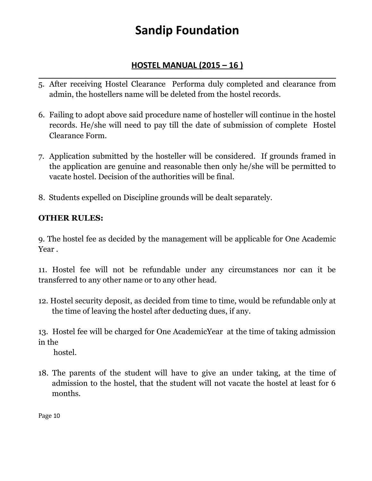### **HOSTEL MANUAL (2015 – 16 )**

- \_\_\_\_\_\_\_\_\_\_\_\_\_\_\_\_\_\_\_\_\_\_\_\_\_\_\_\_\_\_\_\_\_\_\_\_\_\_\_\_\_\_\_\_\_\_\_\_\_\_\_\_\_\_\_\_\_\_\_\_\_\_\_\_\_\_\_\_\_\_\_\_\_\_\_\_\_\_\_\_\_\_ 5. After receiving Hostel Clearance Performa duly completed and clearance from admin, the hostellers name will be deleted from the hostel records.
- 6. Failing to adopt above said procedure name of hosteller will continue in the hostel records. He/she will need to pay till the date of submission of complete Hostel Clearance Form.
- 7. Application submitted by the hosteller will be considered. If grounds framed in the application are genuine and reasonable then only he/she will be permitted to vacate hostel. Decision of the authorities will be final.
- 8. Students expelled on Discipline grounds will be dealt separately.

### **OTHER RULES:**

9. The hostel fee as decided by the management will be applicable for One Academic Year .

11. Hostel fee will not be refundable under any circumstances nor can it be transferred to any other name or to any other head.

12. Hostel security deposit, as decided from time to time, would be refundable only at the time of leaving the hostel after deducting dues, if any.

13. Hostel fee will be charged for One AcademicYear at the time of taking admission in the

hostel.

18. The parents of the student will have to give an under taking, at the time of admission to the hostel, that the student will not vacate the hostel at least for 6 months.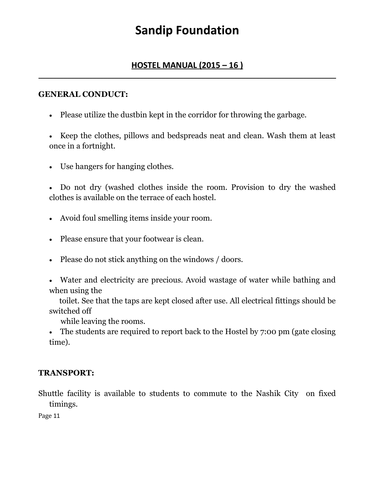#### **HOSTEL MANUAL (2015 – 16 )** \_\_\_\_\_\_\_\_\_\_\_\_\_\_\_\_\_\_\_\_\_\_\_\_\_\_\_\_\_\_\_\_\_\_\_\_\_\_\_\_\_\_\_\_\_\_\_\_\_\_\_\_\_\_\_\_\_\_\_\_\_\_\_\_\_\_\_\_\_\_\_\_\_\_\_\_\_\_\_\_\_\_

#### **GENERAL CONDUCT:**

Please utilize the dustbin kept in the corridor for throwing the garbage.

• Keep the clothes, pillows and bedspreads neat and clean. Wash them at least once in a fortnight.

Use hangers for hanging clothes.

 Do not dry (washed clothes inside the room. Provision to dry the washed clothes is available on the terrace of each hostel.

- Avoid foul smelling items inside your room.
- Please ensure that your footwear is clean.
- Please do not stick anything on the windows / doors.
- Water and electricity are precious. Avoid wastage of water while bathing and when using the

 toilet. See that the taps are kept closed after use. All electrical fittings should be switched off

while leaving the rooms.

 The students are required to report back to the Hostel by 7:00 pm (gate closing time).

#### **TRANSPORT:**

Shuttle facility is available to students to commute to the Nashik City on fixed timings.